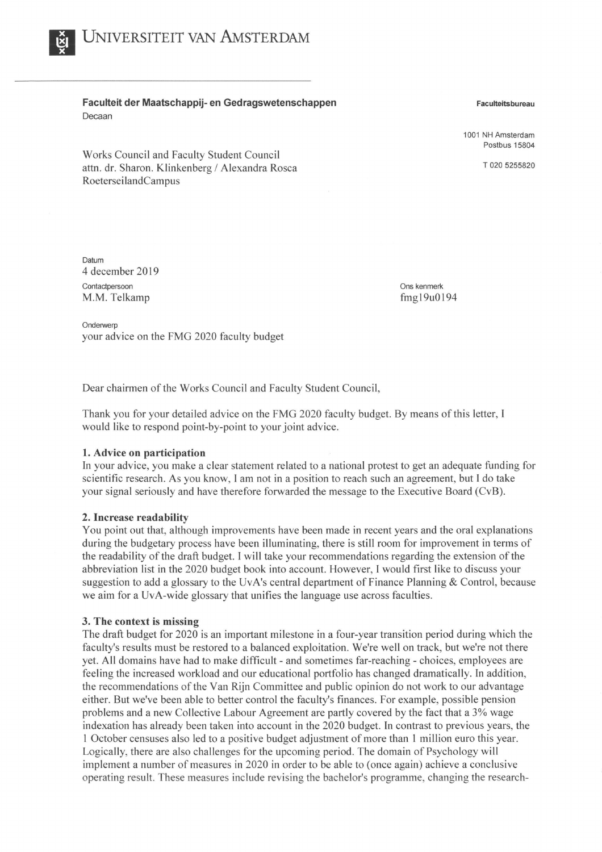**Faculteit der Maatschappij- en Gedragswetenschappen**  Decaan

Works Council and Faculty Student Council attn. dr. Sharon. Klinkenberg/ Alexandra Rosca Roeterseiland Campus

**Faculteitsbureau** 

1001 NH Amsterdam Postbus 15804

T 020 5255820

**Datum** 4 december 2019 Contactpersoon **M.M.** Telkamp

Ons kenmerk fmgl 9u0194

**Onderwerp** your advice on the FMG 2020 faculty budget

Dear chairmen of the Works Council and Faculty Student Council,

Thank you for your detailed advice on the FMG 2020 faculty budget. By means of this letter, I would like to respond point-by-point to your joint advice.

# **1. Advice on participation**

In your advice, you make a clear statement related to a national protest to get an adequate funding for scientific research. As you know, I am not in a position to reach such an agreement, but I do take your signal seriously and have therefore forwarded the message to the Executive Board (CvB).

# **2. Increase readability**

You point out that, although improvements have been made in recent years and the oral explanations during the budgetary process have been illuminating, there is still room for improvement in terms of the readability of the draft budget. I will take your recommendations regarding the extension of the abbreviation list in the 2020 budget book into account. However, I would first like to discuss your suggestion to add a glossary to the UvA's central department of Finance Planning & Control, because we aim for a UvA-wide glossary that unifies the language use across faculties.

# **3. The context is missing**

The draft budget for 2020 is an important milestone in a four-year transition period during which the faculty's results must be restored to a balanced exploitation. We're well on track, but we're not there yet. All domains have had to make difficult - and sometimes far-reaching - choices, employees are feeling the increased workload and our educational portfolio has changed dramatically. In addition, the recommendations of the Van Rijn Committee and public opinion do not work to our advantage either. But we've been able to better control the faculty's finances. For example, possible pension problems and a new Collective Labour Agreement are partly covered by the fact that a 3% wage indexation has already been taken into account in the 2020 budget. In contrast to previous years, the I October censuses also led to a positive budget adjustment of more than I million euro this year. Logically, there are also challenges for the upcoming period. The domain of Psychology will implement a number of measures in 2020 in order to be able to ( once again) achieve a conclusive operating result. These measures include revising the bachelor's programme, changing the research